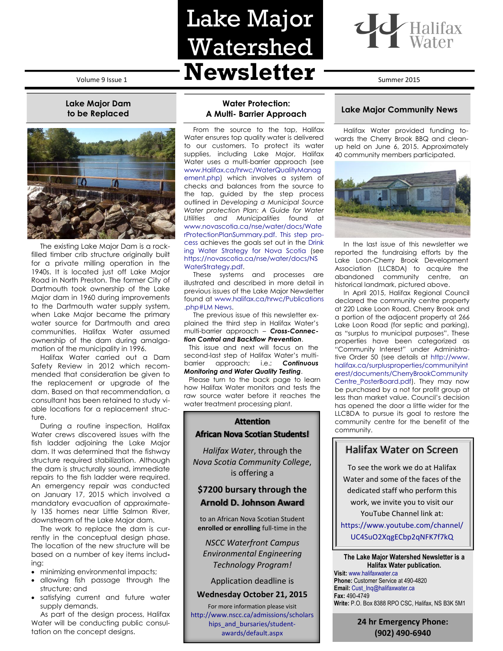# **Lake Major Dam to be Replaced**



The existing Lake Major Dam is a rockfilled timber crib structure originally built for a private milling operation in the 1940s. It is located just off Lake Major Road in North Preston. The former City of Dartmouth took ownership of the Lake Major dam in 1960 during improvements to the Dartmouth water supply system, when Lake Major became the primary water source for Dartmouth and area communities. Halifax Water assumed ownership of the dam during amalgamation of the municipality in 1996.

Halifax Water carried out a Dam Safety Review in 2012 which recommended that consideration be given to the replacement or upgrade of the dam. Based on that recommendation, a consultant has been retained to study viable locations for a replacement structure.

During a routine inspection, Halifax Water crews discovered issues with the fish ladder adjoining the Lake Major dam. It was determined that the fishway structure required stabilization. Although the dam is structurally sound, immediate repairs to the fish ladder were required. An emergency repair was conducted on January 17, 2015 which involved a mandatory evacuation of approximately 135 homes near Little Salmon River, downstream of the Lake Major dam.

The work to replace the dam is currently in the conceptual design phase. The location of the new structure will be based on a number of key items including:

- minimizing environmental impacts;
- allowing fish passage through the structure; and
- satisfying current and future water supply demands.

As part of the design process, Halifax Water will be conducting public consultation on the concept designs.

# Volume 9 Issue 1 **Newsletter** Summer 2015 Lake Major Watershed

**Water Protection: A Multi- Barrier Approach** From the source to the tap, Halifax Water ensures top quality water is delivered to our customers. To protect its water supplies, including Lake Major, Halifax Water uses a multi-barrier approach (see [www.Halifax.ca/hrwc/WaterQualityManag](http://www.halifax.ca/hrwc/WaterQualityManagement.php) [ement.php\)](http://www.halifax.ca/hrwc/WaterQualityManagement.php) which involves a system of checks and balances from the source to the tap, guided by the step process outlined in *Developing a Municipal Source Water protection Plan: A Guide for Water Utilities and Municipalities* found at [www.novascotia.ca/nse/water/docs/Wate](http://www.novascotia.ca/nse/water/docs/WaterProtectionPlanSummary.pdf) [rProtectionPlanSummary.pdf.](http://www.novascotia.ca/nse/water/docs/WaterProtectionPlanSummary.pdf) This step process achieves the goals set out in the [Drink](http://www.gov.ns.ca/nse/water/docs/NSWaterStrategy.pdf) [ing Water Strategy for Nova Scotia](http://www.gov.ns.ca/nse/water/docs/NSWaterStrategy.pdf) (see [https://novascotia.ca/nse/water/docs/NS](https://novascotia.ca/nse/water/docs/NSWaterStrategy.pdf)

These systems and processes are illustrated and described in more detail in previous issues of the Lake Major Newsletter found at [www.halifax.ca/hrwc/Publications](http://www.halifax.ca/hrwc/Publications%20.php#LM News) 

The previous issue of this newsletter explained the third step in Halifax Water's multi-barrier approach – *Cross-Connection Control and Backflow Prevention*. This issue and next will focus on the second-last step of Halifax Water's multibarrier approach; i.e.; *Continuous Monitoring and Water Quality Testing*. Please turn to the back page to learn how Halifax Water monitors and tests the raw source water before it reaches the water treatment processing plant.

[WaterStrategy.pdf.](https://novascotia.ca/nse/water/docs/NSWaterStrategy.pdf)

[.php#LM News.](http://www.halifax.ca/hrwc/Publications%20.php#LM News)



## **Lake Major Community News**

Halifax Water provided funding towards the Cherry Brook BBQ and cleanup held on June 6, 2015. Approximately 40 community members participated.



In the last issue of this newsletter we reported the fundraising efforts by the Lake Loon-Cherry Brook Development Association (LLCBDA) to acquire the abandoned community centre, an historical landmark, pictured above.

In April 2015, Halifax Regional Council declared the community centre property at 220 Lake Loon Road, Cherry Brook and a portion of the adjacent property at 266 Lake Loon Road (for septic and parking), as "surplus to municipal purposes". These properties have been categorized as "Community Interest" under Administrative Order 50 (see details at http://www. halifax.ca/surplusproperties/communityint erest/documents/CherryBrookCommunity Centre\_PosterBoard.pdf). They may now be purchased by a not for profit group at less than market value. Council's decision has opened the door a little wider for the LLCBDA to pursue its goal to restore the community centre for the benefit of the community.

# Halifax Water on Screen

*Halifax Water*, through the *Nova Scotia Community College*, is offering a

# **\$7200 bursary through the Arnold D. Johnson Award**

**Attention African Nova Scotian Students!** 

to an African Nova Scotian Student **enrolled or enrolling** full-time in the

*NSCC Waterfront Campus Environmental Engineering Technology Program!*

Application deadline is

#### **Wednesday October 21, 2015**

For more information please visit [http://www.nscc.ca/admissions/scholars](http://www.nscc.ca/admissions/scholarships_and_bursaries/student-awards/default.aspx) [hips\\_and\\_bursaries/student](http://www.nscc.ca/admissions/scholarships_and_bursaries/student-awards/default.aspx)[awards/default.aspx](http://www.nscc.ca/admissions/scholarships_and_bursaries/student-awards/default.aspx)

To see the work we do at Halifax Water and some of the faces of the dedicated staff who perform this work, we invite you to visit our YouTube Channel link at:

[https://www.youtube.com/channel/](https://www.youtube.com/channel/UC4SuO2XqgECbp2qNFK7f7kQ) [UC4SuO2XqgECbp2qNFK7f7kQ](https://www.youtube.com/channel/UC4SuO2XqgECbp2qNFK7f7kQ)

#### **The Lake Major Watershed Newsletter is a Halifax Water publication.**

**Visit:** [www.halifaxwater.ca](http://www.halifaxwater.ca/) **Phone:** Customer Service at 490-4820 **Email:** [Cust\\_Inq@halifaxwater.ca](mailto:Cust_Inq@halifaxwater.ca) **Fax:** 490-4749 **Write:** P.O. Box 8388 RPO CSC, Halifax, NS B3K 5M1

> **24 hr Emergency Phone: (902) 490-6940**